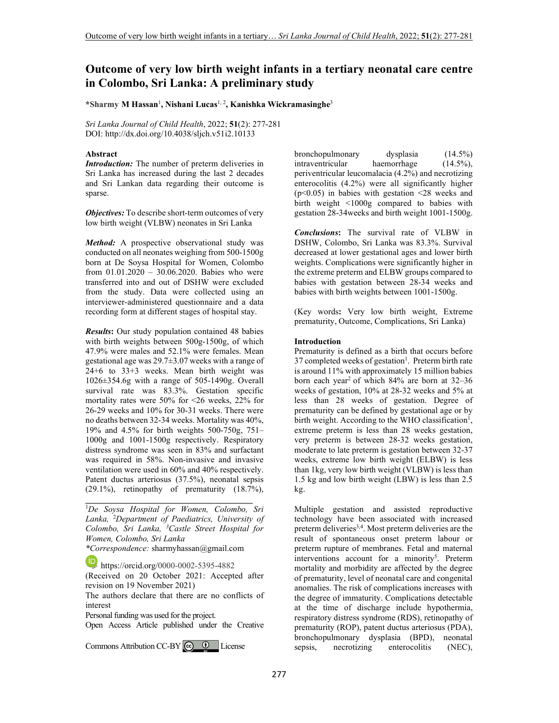# **Outcome of very low birth weight infants in a tertiary neonatal care centre in Colombo, Sri Lanka: A preliminary study**

**\*Sharmy M Hassan**<sup>1</sup> **, Nishani Lucas**1, 2**, Kanishka Wickramasinghe**<sup>3</sup>

*Sri Lanka Journal of Child Health*, 2022; **51**(2): 277-281 DOI: http://dx.doi.org/10.4038/sljch.v51i2.10133

#### **Abstract**

*Introduction:* The number of preterm deliveries in Sri Lanka has increased during the last 2 decades and Sri Lankan data regarding their outcome is sparse.

*Objectives:* To describe short-term outcomes of very low birth weight (VLBW) neonates in Sri Lanka

*Method:* A prospective observational study was conducted on all neonates weighing from 500-1500g born at De Soysa Hospital for Women, Colombo from 01.01.2020 – 30.06.2020. Babies who were transferred into and out of DSHW were excluded from the study. Data were collected using an interviewer-administered questionnaire and a data recording form at different stages of hospital stay.

*Results***:** Our study population contained 48 babies with birth weights between 500g-1500g, of which 47.9% were males and 52.1% were females. Mean gestational age was 29.7±3.07 weeks with a range of 24+6 to 33+3 weeks. Mean birth weight was 1026±354.6g with a range of 505-1490g. Overall survival rate was 83.3%. Gestation specific mortality rates were 50% for <26 weeks, 22% for 26-29 weeks and 10% for 30-31 weeks. There were no deaths between 32-34 weeks. Mortality was 40%, 19% and 4.5% for birth weights 500-750g, 751– 1000g and 1001-1500g respectively. Respiratory distress syndrome was seen in 83% and surfactant was required in 58%. Non-invasive and invasive ventilation were used in 60% and 40% respectively. Patent ductus arteriosus (37.5%), neonatal sepsis (29.1%), retinopathy of prematurity (18.7%),

<sup>1</sup>*De Soysa Hospital for Women, Colombo, Sri Lanka,* <sup>2</sup>*Department of Paediatrics, University of Colombo, Sri Lanka, <sup>3</sup>Castle Street Hospital for Women, Colombo, Sri Lanka*

**\_\_\_\_\_\_\_\_\_\_\_\_\_\_\_\_\_\_\_\_\_\_\_\_\_\_\_\_\_\_\_\_\_\_\_\_\_\_\_**

*\*Correspondence:* sharmyhassan@gmail.com

https://orcid.org/0000-0002-5395-4882

(Received on 20 October 2021: Accepted after revision on 19 November 2021)

The authors declare that there are no conflicts of interest

Personal funding was used for the project.

Open Access Article published under the Creative

CommonsAttribution CC-BY  $\bigcirc$   $\bullet$  License

bronchopulmonary dysplasia (14.5%) intraventricular haemorrhage (14.5%), periventricular leucomalacia (4.2%) and necrotizing enterocolitis (4.2%) were all significantly higher  $(p<0.05)$  in babies with gestation  $\leq 28$  weeks and birth weight <1000g compared to babies with gestation 28-34weeks and birth weight 1001-1500g.

*Conclusions***:** The survival rate of VLBW in DSHW, Colombo, Sri Lanka was 83.3%. Survival decreased at lower gestational ages and lower birth weights. Complications were significantly higher in the extreme preterm and ELBW groups compared to babies with gestation between 28-34 weeks and babies with birth weights between 1001-1500g.

(Key words**:** Very low birth weight, Extreme prematurity, Outcome, Complications, Sri Lanka)

#### **Introduction**

Prematurity is defined as a birth that occurs before 37 completed weeks of gestation<sup>1</sup>. Preterm birth rate is around 11% with approximately 15 million babies born each year<sup>2</sup> of which  $84\%$  are born at  $32-36$ weeks of gestation, 10% at 28-32 weeks and 5% at less than 28 weeks of gestation. Degree of prematurity can be defined by gestational age or by birth weight. According to the WHO classification<sup>1</sup>, extreme preterm is less than 28 weeks gestation, very preterm is between 28-32 weeks gestation, moderate to late preterm is gestation between 32-37 weeks, extreme low birth weight (ELBW) is less than 1kg, very low birth weight (VLBW) is less than 1.5 kg and low birth weight (LBW) is less than 2.5 kg.

Multiple gestation and assisted reproductive technology have been associated with increased preterm deliveries<sup>3,4</sup>. Most preterm deliveries are the result of spontaneous onset preterm labour or preterm rupture of membranes. Fetal and maternal interventions account for a minority<sup>5</sup>. Preterm mortality and morbidity are affected by the degree of prematurity, level of neonatal care and congenital anomalies. The risk of complications increases with the degree of immaturity. Complications detectable at the time of discharge include hypothermia, respiratory distress syndrome (RDS), retinopathy of prematurity (ROP), patent ductus arteriosus (PDA), bronchopulmonary dysplasia (BPD), neonatal<br>sepsis, necrotizing enterocolitis (NEC), sepsis, necrotizing enterocolitis (NEC),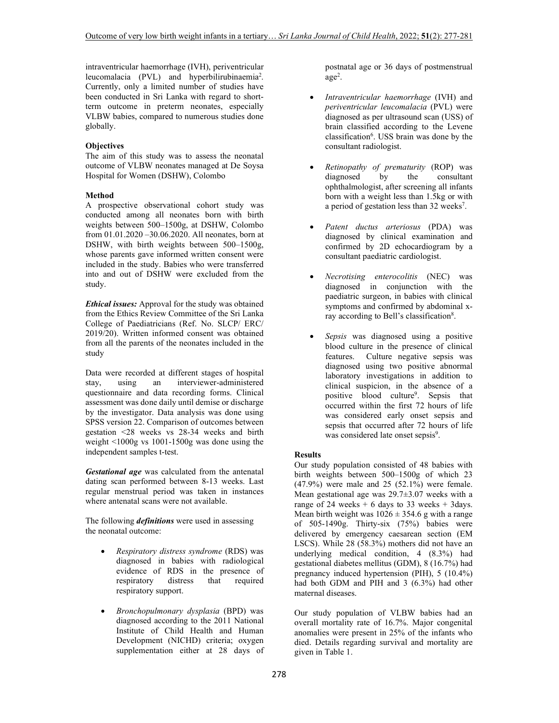intraventricular haemorrhage (IVH), periventricular leucomalacia (PVL) and hyperbilirubinaemia<sup>2</sup>. Currently, only a limited number of studies have been conducted in Sri Lanka with regard to shortterm outcome in preterm neonates, especially VLBW babies, compared to numerous studies done globally.

# **Objectives**

The aim of this study was to assess the neonatal outcome of VLBW neonates managed at De Soysa Hospital for Women (DSHW), Colombo

# **Method**

A prospective observational cohort study was conducted among all neonates born with birth weights between 500–1500g, at DSHW, Colombo from 01.01.2020 –30.06.2020. All neonates, born at DSHW, with birth weights between 500–1500g, whose parents gave informed written consent were included in the study. Babies who were transferred into and out of DSHW were excluded from the study.

*Ethical issues:* Approval for the study was obtained from the Ethics Review Committee of the Sri Lanka College of Paediatricians (Ref. No. SLCP/ ERC/ 2019/20). Written informed consent was obtained from all the parents of the neonates included in the study

Data were recorded at different stages of hospital stay, using an interviewer-administered questionnaire and data recording forms. Clinical assessment was done daily until demise or discharge by the investigator. Data analysis was done using SPSS version 22. Comparison of outcomes between gestation <28 weeks vs 28-34 weeks and birth weight <1000g vs 1001-1500g was done using the independent samples t-test.

*Gestational age* was calculated from the antenatal dating scan performed between 8-13 weeks. Last regular menstrual period was taken in instances where antenatal scans were not available.

The following *definitions* were used in assessing the neonatal outcome:

- *Respiratory distress syndrome* (RDS) was diagnosed in babies with radiological evidence of RDS in the presence of respiratory distress that required respiratory support.
- *Bronchopulmonary dysplasia* (BPD) was diagnosed according to the 2011 National Institute of Child Health and Human Development (NICHD) criteria; oxygen supplementation either at 28 days of

postnatal age or 36 days of postmenstrual age<sup>2</sup> .

- *Intraventricular haemorrhage* (IVH) and *periventricular leucomalacia* (PVL) were diagnosed as per ultrasound scan (USS) of brain classified according to the Levene classification<sup>6</sup>. USS brain was done by the consultant radiologist.
- *Retinopathy of prematurity* (ROP) was diagnosed by the consultant ophthalmologist, after screening all infants born with a weight less than 1.5kg or with a period of gestation less than 32 weeks<sup>7</sup>.
- *Patent ductus arteriosus* (PDA) was diagnosed by clinical examination and confirmed by 2D echocardiogram by a consultant paediatric cardiologist.
- *Necrotising enterocolitis* (NEC) was diagnosed in conjunction with the paediatric surgeon, in babies with clinical symptoms and confirmed by abdominal xray according to Bell's classification<sup>8</sup>.
- *Sepsis* was diagnosed using a positive blood culture in the presence of clinical features. Culture negative sepsis was diagnosed using two positive abnormal laboratory investigations in addition to clinical suspicion, in the absence of a positive blood culture<sup>9</sup>. Sepsis that occurred within the first 72 hours of life was considered early onset sepsis and sepsis that occurred after 72 hours of life was considered late onset sepsis<sup>9</sup>.

# **Results**

Our study population consisted of 48 babies with birth weights between 500–1500g of which 23 (47.9%) were male and 25 (52.1%) were female. Mean gestational age was 29.7±3.07 weeks with a range of 24 weeks  $+ 6$  days to 33 weeks  $+ 3$ days. Mean birth weight was  $1026 \pm 354.6$  g with a range of 505-1490g. Thirty-six (75%) babies were delivered by emergency caesarean section (EM LSCS). While 28 (58.3%) mothers did not have an underlying medical condition, 4 (8.3%) had gestational diabetes mellitus (GDM), 8 (16.7%) had pregnancy induced hypertension (PIH), 5 (10.4%) had both GDM and PIH and 3 (6.3%) had other maternal diseases.

Our study population of VLBW babies had an overall mortality rate of 16.7%. Major congenital anomalies were present in 25% of the infants who died. Details regarding survival and mortality are given in Table 1.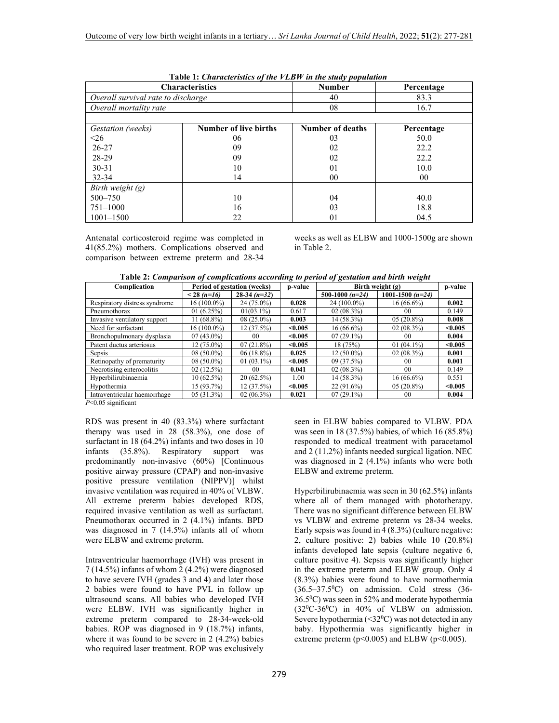|                                    | <b>Characteristics</b> | <b>Number</b>           | Percentage |  |  |
|------------------------------------|------------------------|-------------------------|------------|--|--|
| Overall survival rate to discharge |                        | 40                      | 83.3       |  |  |
| Overall mortality rate             |                        | 08                      | 16.7       |  |  |
| Gestation (weeks)                  | Number of live births  | <b>Number of deaths</b> | Percentage |  |  |
| $\leq 26$                          | 06                     | 03                      | 50.0       |  |  |
| $26 - 27$                          | 09                     | 02                      | 22.2       |  |  |
| 28-29                              | 09                     | 02                      | 22.2       |  |  |
| $30 - 31$                          | 10                     | 01                      | 10.0       |  |  |
| $32 - 34$                          | 14                     | 00                      | 00         |  |  |
| Birth weight $(g)$                 |                        |                         |            |  |  |
| $500 - 750$                        | 10                     | 04                      | 40.0       |  |  |
| $751 - 1000$                       | 16                     | 03                      | 18.8       |  |  |
| $1001 - 1500$                      | 22                     | 01                      | 04.5       |  |  |

 **Table 1:** *Characteristics of the VLBW in the study population*

Antenatal corticosteroid regime was completed in 41(85.2%) mothers. Complications observed and comparison between extreme preterm and 28-34 weeks as well as ELBW and 1000-1500g are shown in Table 2.

| Complication                  | Period of gestation (weeks) |                 | p-value | Birth weight $(g)$ |                    | p-value |
|-------------------------------|-----------------------------|-----------------|---------|--------------------|--------------------|---------|
|                               | $< 28$ (n=16)               | $28-34(n=32)$   |         | 500-1000 $(n=24)$  | 1001-1500 $(n=24)$ |         |
| Respiratory distress syndrome | 16 (100.0%)                 | 24 (75.0%)      | 0.028   | 24 (100.0%)        | $16(66.6\%)$       | 0.002   |
| Pneumothorax                  | 01(6.25%)                   | $01(03.1\%)$    | 0.617   | $02(08.3\%)$       | 00                 | 0.149   |
| Invasive ventilatory support  | $11(68.8\%)$                | $08(25.0\%)$    | 0.003   | 14 (58.3%)         | $05(20.8\%)$       | 0.008   |
| Need for surfactant           | 16 (100.0%)                 | 12(37.5%)       | < 0.005 | $16(66.6\%)$       | $02(08.3\%)$       | < 0.005 |
| Bronchopulmonary dysplasia    | $07(43.0\%)$                | 00 <sup>1</sup> | < 0.005 | $07(29.1\%)$       | 00                 | 0.004   |
| Patent ductus arteriosus      | $12(75.0\%)$                | $07(21.8\%)$    | < 0.005 | 18(75%)            | $01(04.1\%)$       | < 0.005 |
| Sepsis                        | $08(50.0\%)$                | $06(18.8\%)$    | 0.025   | $12(50.0\%)$       | $02(08.3\%)$       | 0.001   |
| Retinopathy of prematurity    | $08(50.0\%)$                | $01(03.1\%)$    | < 0.005 | 09 (37.5%)         | 00                 | 0.001   |
| Necrotising enterocolitis     | 02(12.5%)                   | 00 <sup>1</sup> | 0.041   | $02(08.3\%)$       | 0 <sub>0</sub>     | 0.149   |
| Hyperbilirubinaemia           | $10(62.5\%)$                | $20(62.5\%)$    | 1.00    | 14 (58.3%)         | $16(66.6\%)$       | 0.551   |
| Hypothermia                   | $15(93.7\%)$                | $12(37.5\%)$    | < 0.005 | $22(91.6\%)$       | $05(20.8\%)$       | < 0.005 |
| Intraventricular haemorrhage  | 05(31.3%)                   | $02(06.3\%)$    | 0.021   | $07(29.1\%)$       | 00                 | 0.004   |

*P*<0.05 significant

RDS was present in 40 (83.3%) where surfactant therapy was used in 28 (58.3%), one dose of surfactant in 18 (64.2%) infants and two doses in 10 infants (35.8%). Respiratory support was predominantly non-invasive (60%) [Continuous positive airway pressure (CPAP) and non-invasive positive pressure ventilation (NIPPV)] whilst invasive ventilation was required in 40% of VLBW. All extreme preterm babies developed RDS, required invasive ventilation as well as surfactant. Pneumothorax occurred in 2 (4.1%) infants. BPD was diagnosed in 7 (14.5%) infants all of whom were ELBW and extreme preterm.

Intraventricular haemorrhage (IVH) was present in 7 (14.5%) infants of whom 2 (4.2%) were diagnosed to have severe IVH (grades 3 and 4) and later those 2 babies were found to have PVL in follow up ultrasound scans. All babies who developed IVH were ELBW. IVH was significantly higher in extreme preterm compared to 28-34-week-old babies. ROP was diagnosed in 9 (18.7%) infants, where it was found to be severe in  $2(4.2\%)$  babies who required laser treatment. ROP was exclusively

seen in ELBW babies compared to VLBW. PDA was seen in 18 (37.5%) babies, of which 16 (85.8%) responded to medical treatment with paracetamol and 2 (11.2%) infants needed surgical ligation. NEC was diagnosed in 2 (4.1%) infants who were both ELBW and extreme preterm.

Hyperbilirubinaemia was seen in 30 (62.5%) infants where all of them managed with phototherapy. There was no significant difference between ELBW vs VLBW and extreme preterm vs 28-34 weeks. Early sepsis was found in 4 (8.3%) (culture negative: 2, culture positive: 2) babies while 10 (20.8%) infants developed late sepsis (culture negative 6, culture positive 4). Sepsis was significantly higher in the extreme preterm and ELBW group. Only 4 (8.3%) babies were found to have normothermia  $(36.5-37.5^{\circ}C)$  on admission. Cold stress  $(36 36.5\text{°C}$ ) was seen in 52% and moderate hypothermia  $(32^0C-36^0C)$  in 40% of VLBW on admission. Severe hypothermia  $( $32^0C$ )$  was not detected in any baby. Hypothermia was significantly higher in extreme preterm ( $p<0.005$ ) and ELBW ( $p<0.005$ ).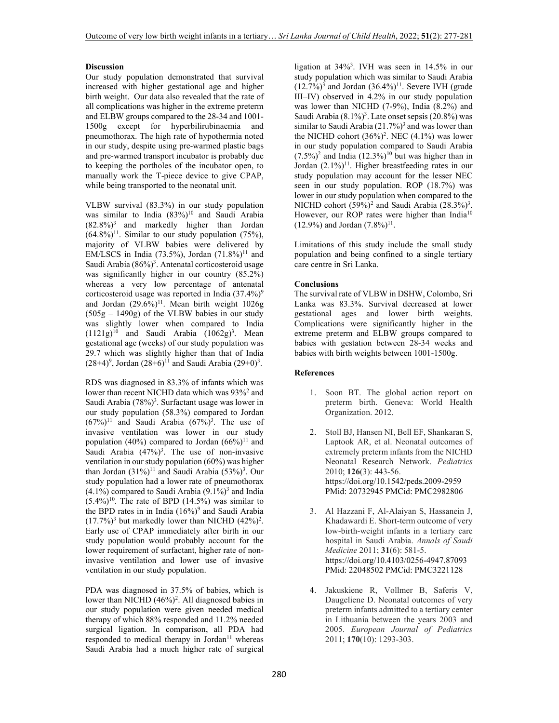## **Discussion**

Our study population demonstrated that survival increased with higher gestational age and higher birth weight. Our data also revealed that the rate of all complications was higher in the extreme preterm and ELBW groups compared to the 28-34 and 1001- 1500g except for hyperbilirubinaemia and pneumothorax. The high rate of hypothermia noted in our study, despite using pre-warmed plastic bags and pre-warmed transport incubator is probably due to keeping the portholes of the incubator open, to manually work the T-piece device to give CPAP, while being transported to the neonatal unit.

VLBW survival (83.3%) in our study population was similar to India (83%)<sup>10</sup> and Saudi Arabia  $(82.8\%)$ <sup>3</sup> and markedly higher than Jordan  $(64.8\%)$ <sup>11</sup>. Similar to our study population (75%), majority of VLBW babies were delivered by EM/LSCS in India (73.5%), Jordan (71.8%)<sup>11</sup> and Saudi Arabia (86%)<sup>3</sup>. Antenatal corticosteroid usage was significantly higher in our country (85.2%) whereas a very low percentage of antenatal corticosteroid usage was reported in India  $(37.4\%)^9$ and Jordan  $(29.6\%)^{11}$ . Mean birth weight  $1026g$  $(505g - 1490g)$  of the VLBW babies in our study was slightly lower when compared to India  $(1121g)^{10}$  and Saudi Arabia  $(1062g)^3$ . Mean gestational age (weeks) of our study population was 29.7 which was slightly higher than that of India  $(28+4)^9$ , Jordan  $(28+6)^{11}$  and Saudi Arabia  $(29+0)^3$ .

RDS was diagnosed in 83.3% of infants which was lower than recent NICHD data which was 93%<sup>2</sup> and Saudi Arabia (78%)<sup>3</sup>. Surfactant usage was lower in our study population (58.3%) compared to Jordan  $(67%)^{11}$  and Saudi Arabia  $(67%)^{3}$ . The use of invasive ventilation was lower in our study population (40%) compared to Jordan  $(66\%)$ <sup>11</sup> and Saudi Arabia  $(47\%)^3$ . The use of non-invasive ventilation in our study population (60%) was higher than Jordan  $(31\%)^{11}$  and Saudi Arabia  $(53\%)^{3}$ . Our study population had a lower rate of pneumothorax  $(4.1\%)$  compared to Saudi Arabia  $(9.1\%)^3$  and India  $(5.4\%)^{10}$ . The rate of BPD  $(14.5\%)$  was similar to the BPD rates in in India  $(16\%)^9$  and Saudi Arabia  $(17.7%)<sup>3</sup>$  but markedly lower than NICHD  $(42%)<sup>2</sup>$ . Early use of CPAP immediately after birth in our study population would probably account for the lower requirement of surfactant, higher rate of noninvasive ventilation and lower use of invasive ventilation in our study population.

PDA was diagnosed in 37.5% of babies, which is lower than NICHD (46%)<sup>2</sup>. All diagnosed babies in our study population were given needed medical therapy of which 88% responded and 11.2% needed surgical ligation. In comparison, all PDA had responded to medical therapy in Jordan<sup>11</sup> whereas Saudi Arabia had a much higher rate of surgical

ligation at 34%<sup>3</sup> . IVH was seen in 14.5% in our study population which was similar to Saudi Arabia  $(12.7%)^3$  and Jordan  $(36.4%)^{11}$ . Severe IVH (grade III–IV) observed in 4.2% in our study population was lower than NICHD (7-9%), India (8.2%) and Saudi Arabia (8.1%)<sup>3</sup>. Late onset sepsis (20.8%) was similar to Saudi Arabia  $(21.7%)^3$  and was lower than the NICHD cohort  $(36\%)^2$ . NEC  $(4.1\%)$  was lower in our study population compared to Saudi Arabia  $(7.5\%)^2$  and India  $(12.3\%)^{10}$  but was higher than in Jordan (2.1%)<sup>11</sup>. Higher breastfeeding rates in our study population may account for the lesser NEC seen in our study population. ROP (18.7%) was lower in our study population when compared to the NICHD cohort  $(59\%)^2$  and Saudi Arabia  $(28.3\%)^3$ . However, our ROP rates were higher than India<sup>10</sup>  $(12.9\%)$  and Jordan  $(7.8\%)^{11}$ .

Limitations of this study include the small study population and being confined to a single tertiary care centre in Sri Lanka.

## **Conclusions**

The survival rate of VLBW in DSHW, Colombo, Sri Lanka was 83.3%. Survival decreased at lower gestational ages and lower birth weights. Complications were significantly higher in the extreme preterm and ELBW groups compared to babies with gestation between 28-34 weeks and babies with birth weights between 1001-1500g.

### **References**

- 1. Soon BT. The global action report on preterm birth. Geneva: World Health Organization. 2012.
- 2. Stoll BJ, Hansen NI, Bell EF, Shankaran S, Laptook AR, et al. Neonatal outcomes of extremely preterm infants from the NICHD Neonatal Research Network. *Pediatrics* 2010; **126**(3): 443-56. https://doi.org/10.1542/peds.2009-2959 PMid: 20732945 PMCid: PMC2982806
- 3. Al Hazzani F, Al-Alaiyan S, Hassanein J, Khadawardi E. Short-term outcome of very low-birth-weight infants in a tertiary care hospital in Saudi Arabia. *Annals of Saudi Medicine* 2011; **31**(6): 581-5. https://doi.org/10.4103/0256-4947.87093 PMid: 22048502 PMCid: PMC3221128
- 4. Jakuskiene R, Vollmer B, Saferis V, Daugeliene D. Neonatal outcomes of very preterm infants admitted to a tertiary center in Lithuania between the years 2003 and 2005. *European Journal of Pediatrics* 2011; **170**(10): 1293-303.